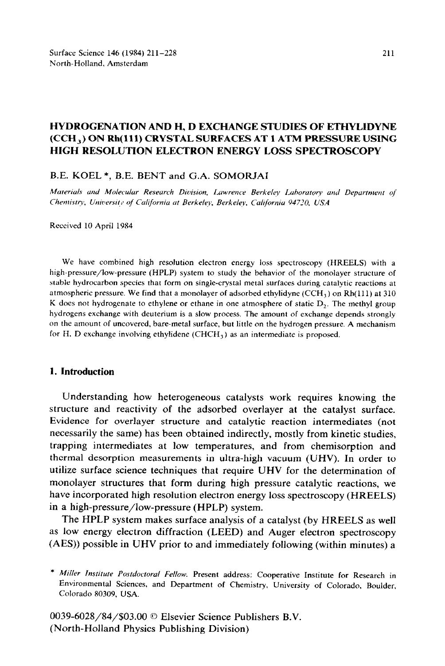# **HYDROGENATION AND H, D EXCHANGE STUDIES OF ETHYLIDYNE (CCH,) ON Rh(ll1) CRYSTAL SURFACES AT 1 ATM PRESSURE USING HIGH RESOLUTION ELECTRON ENERGY LOSS SPECTROSCOPY**

### B.E. KOEL \*, B.E. BENT and G.A. SOMORJAI

Materials and Molecular Research Division, Lawrence Berkeley Laboratory and Department of Chemistry, University of California at Berkeley, Berkeley, California 94720, USA

Received 10 April 1984

We have combined high resolution electron energy loss spectroscopy (HREELS) with a high-pressure/low-pressure (HPLP) system to study the behavior of the monolayer structure of stable hydrocarbon species that form on single-crystal metal surfaces during catalytic reactions at atmospheric pressure. We find that a monolayer of adsorbed ethylidyne (CCH<sub>3</sub>) on Rh(111) at 310 K does not hydrogenate to ethylene or ethane in one atmosphere of static  $D<sub>2</sub>$ . The methyl group hydrogens exchange with deuterium is a slow process. The amount of exchange depends strongly on the amount of uncovered, bare-metal surface, but little on the hydrogen pressure. A mechanism for H, D exchange involving ethylidene  $(CHCH<sub>3</sub>)$  as an intermediate is proposed.

## **1. Introduction**

Understanding how heterogeneous catalysts work requires knowing the structure and reactivity of the adsorbed overlayer at the catalyst surface. Evidence for overlayer structure and catalytic reaction intermediates (not necessarily the same) has been obtained indirectly, mostly from kinetic studies, trapping intermediates at low temperatures, and from chemisorption and thermal desorption measurements in ultra-high vacuum (UHV). In order to utilize surface science techniques that require UHV for the determination of monolayer structures that form during high pressure catalytic reactions, we have incorporated high resolution electron energy loss spectroscopy (HREELS) in a high-pressure/low-pressure (HPLP) system.

The HPLP system makes surface analysis of a catalyst (by HREELS as well as low energy electron diffraction (LEED) and Auger electron spectroscopy (AES)) possible in UHV prior to and immediately following (within minutes) a

0039-6028/84/\$03.00 © Elsevier Science Publishers B.V. (North-Holland Physics Publishing Division)

*<sup>\*</sup> Miller Institute Postdoctord Fellow.* Present address: Cooperative Institute for Research in Environmental Sciences, and Department of Chemistry, University of Colorado, Boulder, Colorado 80309, USA.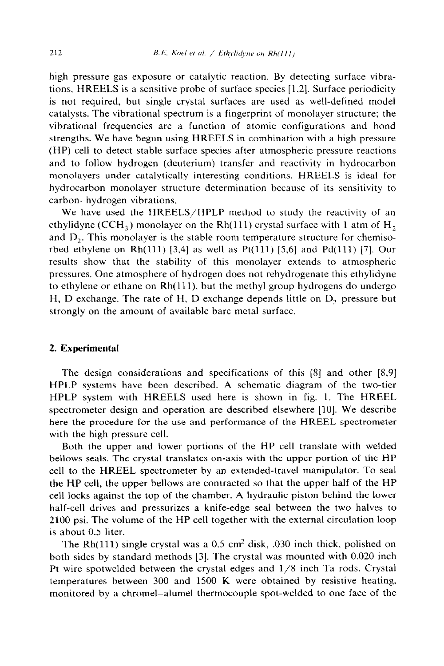high pressure gas exposure or catalytic reaction. By detecting surface vibrations, HREELS is a sensitive probe of surface species [1.2]. Surface periodicity is not required, but single crystal surfaces are used as well-defined model catalysts. The vibrational spectrum is a fingerprint of monolayer structure; the vibrational frequencies are a function of atomic configurations and bond strengths. We have begun using HREELS in combination with a high pressure (HP) cell to detect stable surface species after atmospheric pressure reactions and to follow hydrogen (deuterium) transfer and reactivity in hydrocarbon monolayers under catalytically interesting conditions. HREELS is ideal for hydrocarbon monolayer structure determination because of its sensitivity to carbon-hydrogen vibrations.

We have used the HREELS/HPLP method to study the reactivity of an ethylidyne (CCH<sub>3</sub>) monolayer on the Rh(111) crystal surface with 1 atm of H<sub>2</sub> and D,. This monolayer is the stable room temperature structure for chemisorbed ethylene on Rh $(111)$  [3,4] as well as Pt $(111)$  [5,6] and Pd $(111)$  [7]. Our results show that the stability of this monolayer extends to atmospheric pressures. One atmosphere of hydrogen does not rehydrogenate this ethylidyne to ethylene or ethane on Rh(111), but the methyl group hydrogens do undergo H, D exchange. The rate of H, D exchange depends little on D, pressure but strongly on the amount of available bare metal surface.

## 2. **Experimental**

The design considerations and specifications of this [8] and other [8,9] HPLP systems have been described. A schematic diagram of the two-tier HPLP system with HREELS used here is shown in fig. 1. The HREEL spectrometer design and operation are described elsewhere [10]. We describe here the procedure for the use and performance of the HREEL spectrometer with the high pressure cell.

Both the upper and lower portions of the HP cell translate with welded bellows seals. The crystal translates on-axis with the upper portion of the HP cell to the HREEL spectrometer by an extended-travel manipulator. To seal the HP cell, the upper bellows are contracted so that the upper half of the HP cell locks against the top of the chamber. A hydraulic piston behind the lower half-cell drives and pressurizes a knife-edge seal between the two halves to 2100 psi. The volume of the HP cell together with the external circulation loop is about 0.5 liter.

The Rh(111) single crystal was a  $0.5 \text{ cm}^2$  disk,  $.030$  inch thick, polished on both sides by standard methods [3]. The crystal was mounted with 0.020 inch Pt wire spotwelded between the crystal edges and  $1/8$  inch Ta rods. Crystal temperatures between 300 and 1500 K were obtained by resistive heating, monitored by a chromel~alumel thermocouple spot-welded to one face of the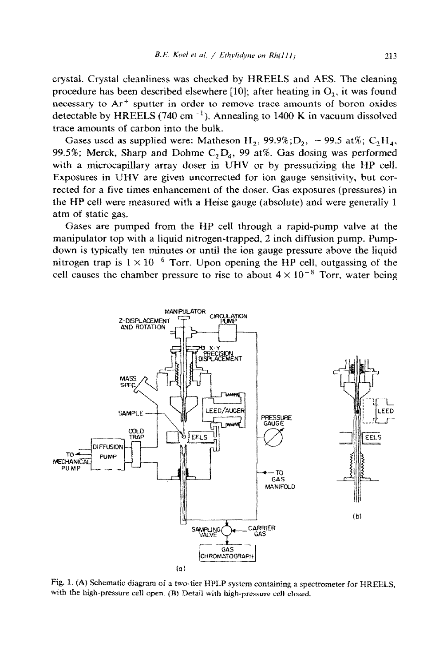213

crystal. Crystal cleanliness was checked by HREELS and AES. The cleaning procedure has been described elsewhere [10]; after heating in  $O_2$ , it was found necessary to Ar' sputter in order to remove trace amounts of boron oxides detectable by HREELS (740 cm<sup>-1</sup>). Annealing to 1400 K in vacuum dissolved trace amounts of carbon into the bulk.

Gases used as supplied were: Matheson H<sub>2</sub>, 99.9%;D<sub>2</sub>, ~ 99.5 at%; C<sub>2</sub>H<sub>4</sub>, 99.5%; Merck, Sharp and Dohme  $C_2D_4$ , 99 at%. Gas dosing was performed with a microcapillary array doser in UHV or by pressurizing the HP cell. Exposures in UHV are given uncorrected for ion gauge sensitivity, but corrected for a five times enhancement of the doser. Gas exposures (pressures) in the HP cell were measured with a Heise gauge (absolute) and were generally 1 atm of static gas.

Gases are pumped from the HP cell through a rapid-pump valve at the manipulator top with a liquid nitrogen-trapped, 2 inch diffusion pump. Pumpdown is typically ten minutes or until the ion gauge pressure above the liquid nitrogen trap is  $1 \times 10^{-6}$  Torr. Upon opening the HP cell, outgassing of the cell causes the chamber pressure to rise to about  $4 \times 10^{-8}$  Torr, water being



Fig. 1. (A) Schematic diagram of a two-tier HPLP system containing a spectrometer for HREELS. with the high-pressure cell open. (B) Detail with high-pressure cell closed.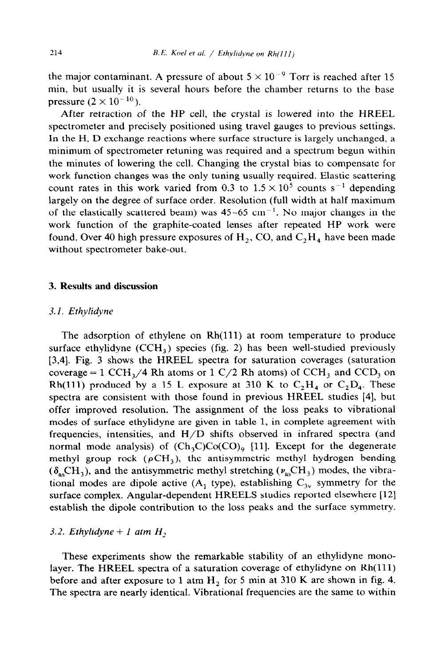the major contaminant. A pressure of about  $5 \times 10^{-9}$  Torr is reached after 15 min, but usually it is several hours before the chamber returns to the base pressure  $(2 \times 10^{-10})$ .

After retraction of the HP cell, the crystal is lowered into the HREEL spectrometer and precisely positioned using travel gauges to previous settings. In the H, D exchange reactions where surface structure is largely unchanged, a minimum of spectrometer retuning was required and a spectrum begun within the minutes of lowering the cell. Changing the crystal bias to compensate for work function changes was the only tuning usually required. Elastic scattering count rates in this work varied from 0.3 to  $1.5 \times 10^5$  counts s<sup>-1</sup> depending largely on the degree of surface order. Resolution (full width at half maximum of the elastically scattered beam) was  $45-65$  cm<sup>-1</sup>. No major changes in the work function of the graphite-coated lenses after repeated HP work were found. Over 40 high pressure exposures of  $H_2$ , CO, and  $C_2H_4$  have been made without spectrometer bake-out.

### 3. **Results and discussion**

### **3.1.** *Ethylidyne*

The adsorption of ethylene on Rh(111) at room temperature to produce surface ethylidyne  $(CCH<sub>3</sub>)$  species (fig. 2) has been well-studied previously [3,4]. Fig. 3 shows the HREEL spectra for saturation coverages (saturation coverage = 1 CCH<sub>3</sub>/4 Rh atoms or 1 C/2 Rh atoms) of CCH<sub>3</sub> and CCD<sub>3</sub> on Rh(111) produced by a 15 L exposure at 310 K to  $C_2H_4$  or  $C_2D_4$ . These spectra are consistent with those found in previous HREEL studies [4], but offer improved resolution. The assignment of the loss peaks to vibrational modes of surface ethylidyne are given in table 1, in complete agreement with frequencies, intensities, and H/D shifts observed in infrared spectra (and normal mode analysis) of  $(Ch_3C)Co(CO)$ , [11]. Except for the degenerate methyl group rock ( $\rho$ CH<sub>3</sub>), the antisymmetric methyl hydrogen bending  $(\delta_{\rm as}CH_3)$ , and the antisymmetric methyl stretching ( $\nu_{\rm as}CH_3$ ) modes, the vibrational modes are dipole active  $(A_1, B_1)$  type), establishing  $C_{3v}$  symmetry for the surface complex. Angular-dependent HREELS studies reported elsewhere [12] establish the dipole contribution to the loss peaks and the surface symmetry.

#### 3.2. *Ethylidyne* + 1 atm  $H_2$

These experiments show the remarkable stability of an ethylidyne monolayer. The HREEL spectra of a saturation coverage of ethylidyne on Rh(111) before and after exposure to 1 atm  $H_2$  for 5 min at 310 K are shown in fig. 4. The spectra are nearly identical. Vibrational frequencies are the same to within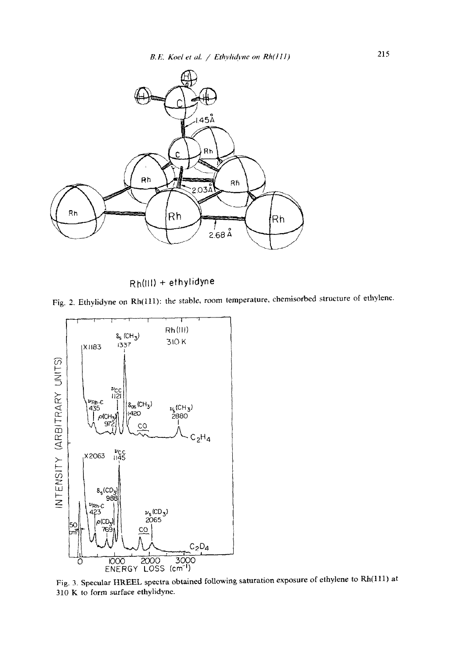

Rh(lll) + ethylidyne

Fig. 2. Ethylidyne on Rh(111): the stable, room temperature, chemisorbed structure of ethylene.



Fig. 3. Specular HREEL spectra obtained foilowing saturation exposure of ethylene to Rh(lll) at 310 K to form surface ethylidyne.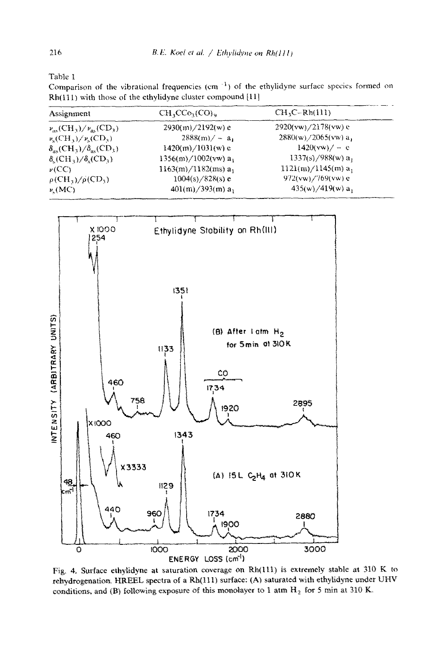Table 1

Comparison of the vibrational frequencies (cm $^{-1}$ ) of the ethylidyne surface species formed on Rh(111) with those of the ethylidyne cluster compound [11]

| Assignment                                                           | $CH_2CCo_3(CO)_9$              | $CH_3C-Rh(111)$<br>$2920(vw)/2178(vw)$ e |  |
|----------------------------------------------------------------------|--------------------------------|------------------------------------------|--|
| $\nu_{\alpha}$ (CH <sub>3</sub> )/ $\nu_{\alpha}$ (CD <sub>3</sub> ) | $2930(m)/2192(w)$ e            |                                          |  |
| $\nu_s$ (CH <sub>3</sub> )/ $\nu_s$ (CD <sub>3</sub> )               | $2888(m)/-a_1$                 | $2880(w)/2065(vw) a_1$                   |  |
| $\delta_{\rm as}(\rm CH_3)/\delta_{\rm as}(\rm CD_3)$                | $1420(m)/1031(w)$ e            | $1420(vw)/-e$                            |  |
| $\delta_{s}(\mathrm{CH}_3)/\delta_{s}(\mathrm{CD}_3)$                | $1356(m)/1002(vw) a_1$         | $1337(s)/988(w) a_1$                     |  |
| $\nu$ (CC)                                                           | $1163(m)/1182(ms)$ a.          | $1121(m)/1145(m) a_1$                    |  |
| $\rho$ (CH <sub>3</sub> )/ $\rho$ (CD <sub>3</sub> )                 | $1004(s)/828(s)$ e             | $972(vw)/769(vw)$ e                      |  |
| $\nu$ (MC)                                                           | $401(m)/393(m)$ a <sub>1</sub> | $435(w)/419(w) a_1$                      |  |



Fig. 4. Surface ethylidyne at saturation coverage on Rh(111) is extremely stable at 310 K to rehydrogenation. HREEL spectra of a Rh(111) surface: (A) saturated with ethylidyne under UHV conditions, and (B) following exposure of this monolayer to 1 atm  $H_2$  for 5 min at 310 K.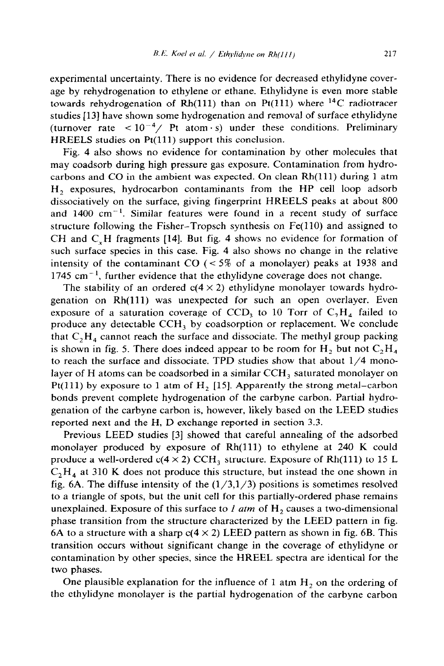experimental uncertainty. There is no evidence for decreased ethylidyne coverage by rehydrogenation to ethylene or ethane. Ethylidyne is even more stable towards rehydrogenation of Rh(111) than on Pt(111) where <sup>14</sup>C radiotracer studies [13] have shown some hydrogenation and removal of surface ethylidyne (turnover rate  $\langle 10^{-4} / \text{Pt atom} \cdot \text{s} \rangle$  under these conditions. Preliminary HREELS studies on Pt(111) support this conclusion.

Fig. 4 also shows no evidence for contamination by other molecules that may coadsorb during high pressure gas exposure. Contamination from hydrocarbons and CO in the ambient was expected. On clean  $Rh(111)$  during 1 atm H, exposures, hydrocarbon contaminants from the HP cell loop adsorb dissociatively on the surface, giving fingerprint HREELS peaks at about 800 and  $1400 \text{ cm}^{-1}$ . Similar features were found in a recent study of surface structure following the Fisher-Tropsch synthesis on Fe(ll0) and assigned to CH and C,H fragments [14]. But fig. 4 shows no evidence for formation of such surface species in this case. Fig. 4 also shows no change in the relative intensity of the contaminant CO  $\zeta$  = 5% of a monolayer) peaks at 1938 and  $1745$  cm<sup>-1</sup>, further evidence that the ethylidyne coverage does not change.

The stability of an ordered  $c(4 \times 2)$  ethylidyne monolayer towards hydrogenation on Rh(ll1) was unexpected for such an open overlayer. Even exposure of a saturation coverage of CCD, to 10 Torr of  $C_2H<sub>4</sub>$  failed to produce any detectable CCH, by coadsorption or replacement. We conclude that  $C_2H_4$  cannot reach the surface and dissociate. The methyl group packing is shown in fig. 5. There does indeed appear to be room for  $H_2$  but not  $C_2H_4$ to reach the surface and dissociate. TPD studies show that about  $1/4$  monolayer of H atoms can be coadsorbed in a similar  $CCH<sub>3</sub>$  saturated monolayer on Pt(111) by exposure to 1 atm of  $H<sub>2</sub>$  [15]. Apparently the strong metal-carbon bonds prevent complete hydrogenation of the carbyne carbon. Partial hydrogenation of the carbyne carbon is, however, likely based on the LEED studies reported next and the H, D exchange reported in section 3.3.

Previous LEED studies [3] showed that careful annealing of the adsorbed monolayer produced by exposure of Rh(111) to ethylene at 240 K could produce a well-ordered  $c(4 \times 2)$  CCH<sub>3</sub> structure. Exposure of Rh(111) to 15 L  $C_2H_4$  at 310 K does not produce this structure, but instead the one shown in fig. 6A. The diffuse intensity of the  $(1/3,1/3)$  positions is sometimes resolved to a triangle of spots, but the unit cell for this partially-ordered phase remains unexplained. Exposure of this surface to  $I$  atm of  $H_2$  causes a two-dimensional phase transition from the structure characterized by the LEED pattern in fig. 6A to a structure with a sharp  $c(4 \times 2)$  LEED pattern as shown in fig. 6B. This transition occurs without significant change in the coverage of ethylidyne or contamination by other species, since the HREEL spectra are identical for the two phases.

One plausible explanation for the influence of 1 atm  $H_2$  on the ordering of the ethylidyne monolayer is the partial hydrogenation of the carbyne carbon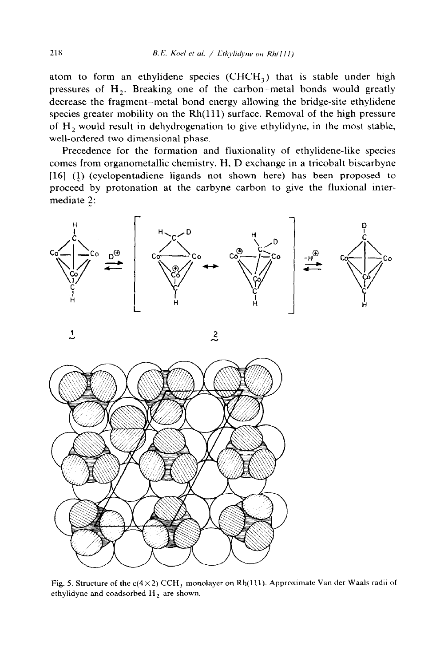atom to form an ethylidene species  $(CHCH<sub>3</sub>)$  that is stable under high pressures of  $H_2$ . Breaking one of the carbon-metal bonds would greatly decrease the fragment-metal bond energy allowing the bridge-site ethylidene species greater mobility on the Rh(111) surface. Removal of the high pressure of  $H_2$  would result in dehydrogenation to give ethylidyne, in the most stable, well-ordered two dimensional phase.

Precedence for the formation and fluxionality of ethylidene-like species comes from organometallic chemistry. H, D exchange in a tricobalt biscarbyne [16] (1) (cyclopentadiene ligands not shown here) has been proposed to proceed by protonation at the carbyne carbon to give the fluxional intermediate 2:





**1** *2* 

Fig. 5. Structure of the c( $4 \times 2$ ) CCH<sub>3</sub> monolayer on Rh(111). Approximate Van der Waals radii of ethylidyne and coadsorbed  $H_2$  are shown.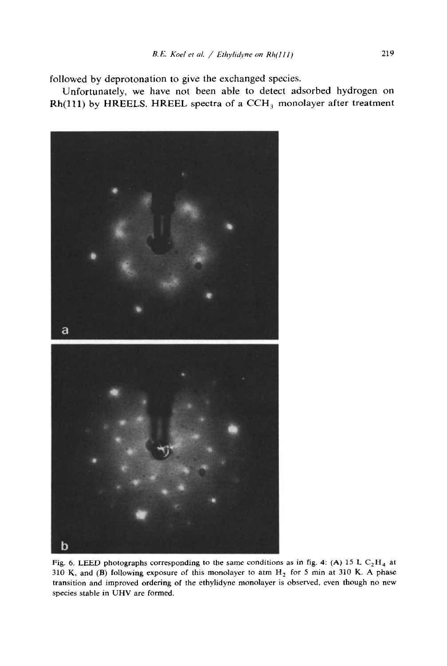followed by deprotonation to give the exchanged species.

Unfortunately, we have not been able to detect adsorbed hydrogen on Rh(111) by HREELS. HREEL spectra of a CCH<sub>3</sub> monolayer after treatment



Fig. 6. LEED photographs corresponding to the same conditions as in fig. 4: (A) 15 L  $C_2H_4$  at 310 K, and (B) following exposure of this monolayer to atm  $H_2$  for 5 min at 310 K. A phase transition and improved ordering of the ethylidyne monolayer is observed, even though no new species stable in UHV are formed.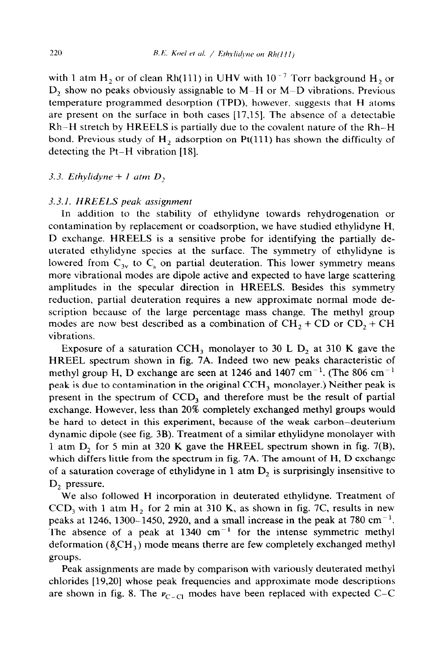with 1 atm  $H_2$  or of clean Rh(111) in UHV with 10<sup>-7</sup> Torr background  $H_2$  or D, show no peaks obviously assignable to M-H or M-D vibrations. Previous temperature programmed desorption (TPD), however, suggests that H atoms are present on the surface in both cases [17,15]. The absence of a detectable Rh-H stretch by HREELS is partially due to the covalent nature of the Rl-H bond. Previous study of  $H_2$  adsorption on Pt(111) has shown the difficulty of detecting the Pt-H vibration [18].

3.3. *Ethylidyne*  $+ 1$  *atm*  $D$ ,

#### 3.3.1. *HREELS peak assignment*

In addition to the stability of ethyhdyne towards rehydrogenation or contamination by replacement or coadsorption, we have studied ethylidyne H, D exchange. HREELS is a sensitive probe for identifying the partially deuterated ethylidyne species at the surface. The symmetry of ethylidyne is lowered from  $C_{3v}$  to  $C_s$  on partial deuteration. This lower symmetry means more vibrational modes are dipole active and expected to have large scattering amplitudes in the specular direction in HREELS. Besides this symmetry reduction, partial deuteration requires a new approximate normal mode description because of the large percentage mass change. The methyl group modes are now best described as a combination of  $CH_2 + CD$  or  $CD_2 + CH$ vibrations.

Exposure of a saturation CCH<sub>3</sub> monolayer to 30 L  $D_2$  at 310 K gave the HREEL spectrum shown in fig. 7A. Indeed two new peaks characteristic of methyl group H, D exchange are seen at 1246 and 1407 cm<sup>-1</sup>. (The 806 cm<sup>-1</sup>) peak is due to contamination in the original CCH<sub>3</sub> monolayer.) Neither peak is present in the spectrum of CCD<sub>3</sub> and therefore must be the result of partial exchange. However, less than 20% completely exchanged methyl groups would be hard to detect in this experiment, because of the weak carbon-deuterium dynamic dipole (see fig. 3B). Treatment of a similar ethylidyne monolayer with 1 atm  $D_2$  for 5 min at 320 K gave the HREEL spectrum shown in fig. 7(B), which differs little from the spectrum in fig. 7A. The amount of H, D exchange of a saturation coverage of ethylidyne in 1 atm  $D<sub>2</sub>$  is surprisingly insensitive to D<sub>2</sub> pressure.

We also followed H incorporation in deuterated ethylidyne. Treatment of  $CCD<sub>3</sub>$  with 1 atm H<sub>2</sub> for 2 min at 310 K, as shown in fig. 7C, results in new peaks at 1246, 1300-1450, 2920, and a small increase in the peak at 780 cm<sup>-1</sup>. The absence of a peak at  $1340 \text{ cm}^{-1}$  for the intense symmetric methyl deformation ( $\delta_c$ CH<sub>3</sub>) mode means therre are few completely exchanged methyl groups.

Peak assignments are made by comparison with variously deuterated methyl chlorides [19,20] whose peak frequencies and approximate mode descriptions are shown in fig. 8. The  $v_{C-CI}$  modes have been replaced with expected C-C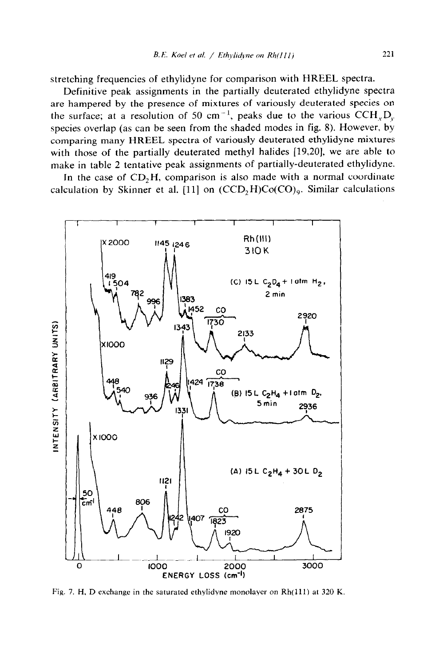stretching frequencies of ethylidyne for comparison with HREEL spectra.

Definitive peak assignments in the partially deuterated ethylidyne spectra are hampered by the presence of mixtures of variously deuterated species on the surface; at a resolution of 50 cm<sup>-1</sup>, peaks due to the various CCH<sub>r</sub>D<sub>r</sub>. species overlap (as can be seen from the shaded modes in fig. 8). However, by comparing many HREEL spectra of variously deuterated ethylidyne mixtures with those of the partially deuterated methyl halides [19,20], we are able to make in table 2 tentative peak assignments of partially-deuterated ethylidyne.

In the case of  $CD<sub>2</sub>H$ , comparison is also made with a normal coordinate calculation by Skinner et al. [11] on  $(CCD<sub>2</sub>H)Co(CO)<sub>9</sub>$ . Similar calculations



Fig. *7.* H, D exchange in the saturated ethylidyne monolayer on Rh(ll1) at 320 K.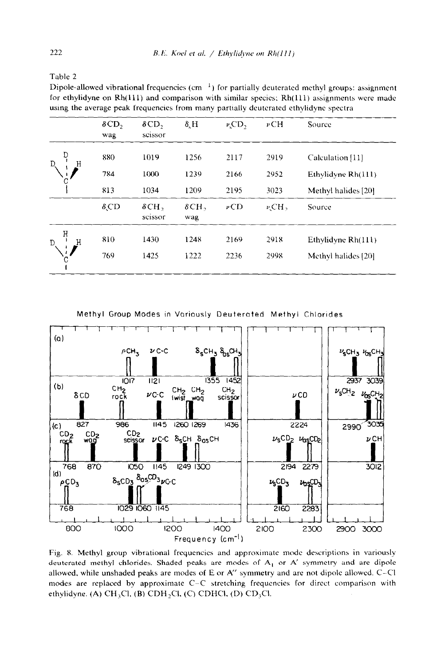Table 2

Dipole-allowed vibrational frequencies (cm  $^{-1}$ ) for partially deuterated methyl groups: assignment for ethylidyne on  $Rh(111)$  and comparison with similar species;  $Rh(111)$  assignments were made using the average peak frequencies from many partially deuterated ethylidyne spectra

|        | $\delta$ CD <sub>2</sub><br>wag | $\delta$ CD,<br>scissor | $\delta$ , H        | $\nu$ <sub>c</sub> CD <sub>2</sub> | $\nu$ CH              | Source                                    |
|--------|---------------------------------|-------------------------|---------------------|------------------------------------|-----------------------|-------------------------------------------|
|        | 880<br>784                      | 1019<br>1000            | 1256<br>1239        | 2117<br>2166                       | 2919<br>2952          | Calculation [11]                          |
|        | 813                             | 1034                    | 1209                | 2195                               | 3023                  | Ethylidyne Rh(111)<br>Methyl halides [20] |
|        | $\delta$ ,CD                    | $\delta$ CH,<br>scissor | $\delta$ CH,<br>wag | $\nu$ CD                           | $\nu$ <sub>CH</sub> , | Source                                    |
| Η<br>D | 810                             | 1430                    | 1248                | 2169                               | 2918                  | Ethylidyne Rh(111)                        |
| Ć      | 769                             | 1425                    | 1222                | 2236                               | 2998                  | Methyl halides [20]                       |

Methyl Group Modes in Variously Deuterated Methyl Chlorides



Fig. 8. Methyl group vibrational frequencies and approximate mode descriptions in variously deuterated methyl chlorides. Shaded peaks are modes of  $A<sub>1</sub>$  or  $A'$  symmetry and are dipole allowed, while unshaded peaks are modes of E or A" symmetry and are not dipole allowed. C-Cl modes are replaced by approximate C-C stretching frequencies for direct comparison with ethylidyne. (A) CH<sub>3</sub>Cl, (B) CDH<sub>2</sub>Cl, (C) CDHCl, (D) CD<sub>3</sub>Cl.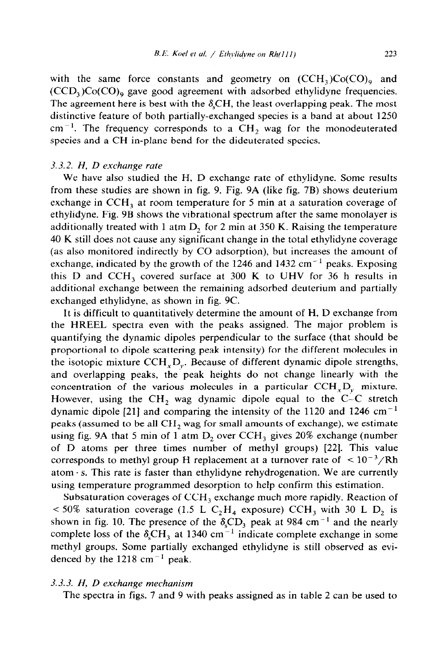with the same force constants and geometry on  $(CCH<sub>3</sub>)C<sub>0</sub>(CO)<sub>9</sub>$  and  $(CCD<sub>3</sub>)C<sub>0</sub>(CO)<sub>9</sub>$  gave good agreement with adsorbed ethylidyne frequencies. The agreement here is best with the  $\delta_c$ CH, the least overlapping peak. The most distinctive feature of both partially-exchanged species is a band at about 1250  $cm^{-1}$ . The frequency corresponds to a CH<sub>2</sub> wag for the monodeuterated species and a CH in-plane bend for the dideuterated species.

## 3.3.2. H, *D exchange rate*

We have also studied the H, D exchange rate of ethylidyne. Some results from these studies are shown in fig. 9. Fig. 9A (like fig. 7B) shows deuterium exchange in  $CCH<sub>3</sub>$  at room temperature for 5 min at a saturation coverage of ethylidyne. Fig. 9B shows the vibrational spectrum after the same monolayer is additionally treated with 1 atm D, for 2 min at 350 K. Raising the temperature 40 K still does not cause any significant change in the total ethylidyne coverage (as also monitored indirectly by CO adsorption), but increases the amount of exchange, indicated by the growth of the 1246 and 1432 cm<sup>-1</sup> peaks. Exposing this D and CCH, covered surface at 300 K to UHV for 36 h results in additional exchange between the remaining adsorbed deuterium and partially exchanged ethylidyne, as shown in fig. 9C.

It is difficult to quantitatively determine the amount of H, D exchange from the HREEL spectra even with the peaks assigned. The major problem is quantifying the dynamic dipoles perpendicular to the surface (that should be proportional to dipole scattering peak intensity) for the different molecules in the isotopic mixture CCH,D,. Because of different dynamic dipole strengths, and overlapping peaks, the peak heights do not change linearly with the concentration of the various molecules in a particular  $CCH<sub>x</sub>D<sub>y</sub>$  mixture. However, using the  $CH_2$  wag dynamic dipole equal to the C-C stretch dynamic dipole [21] and comparing the intensity of the 1120 and 1246  $cm^{-1}$ peaks (assumed to be all  $CH<sub>2</sub>$  wag for small amounts of exchange), we estimate using fig. 9A that 5 min of 1 atm  $D_2$  over CCH<sub>3</sub> gives 20% exchange (number of D atoms per three times number of methyl groups) [22]. This value corresponds to methyl group H replacement at a turnover rate of  $\leq 10^{-3}/Rh$ atom $\cdot$  s. This rate is faster than ethylidyne rehydrogenation. We are currently using temperature programmed desorption to help confirm this estimation.

Subsaturation coverages of  $\rm CH_3$  exchange much more rapidly. Reaction of  $< 50\%$  saturation coverage (1.5 L C<sub>2</sub>H<sub>4</sub> exposure) CCH<sub>3</sub> with 30 L D<sub>2</sub> is shown in fig. 10. The presence of the  $\delta_sCD_3$  peak at 984 cm<sup>-1</sup> and the nearly complete loss of the  $\delta_c$ CH<sub>3</sub> at 1340 cm<sup>-1</sup> indicate complete exchange in some methyl groups. Some partially exchanged ethylidyne is still observed as evidenced by the 1218 cm<sup> $-1$ </sup> peak.

## 3.3.3. *H, D exchange mechanism*

The spectra in figs. 7 and 9 with peaks assigned as in table 2 can be used to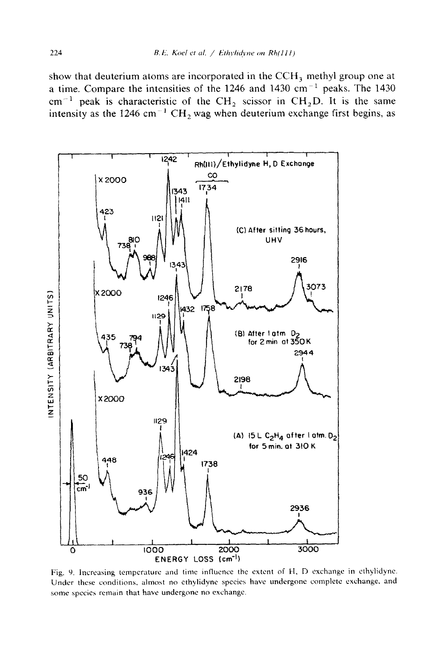show that deuterium atoms are incorporated in the  $CCH<sub>3</sub>$  methyl group one at a time. Compare the intensities of the 1246 and 1430  $cm^{-1}$  peaks. The 1430 cm<sup>-1</sup> peak is characteristic of the CH<sub>2</sub> scissor in CH<sub>2</sub>D. It is the same intensity as the 1246 cm<sup>-1</sup> CH<sub>2</sub> wag when deuterium exchange first begins, as



Fig. 9. Increasing temperature and time influence the extent of H, D exchange in ethylidyne. Under these conditions, almost no ethylidyne species have undergone complete exchange, and some species remain that have undergone no exchange.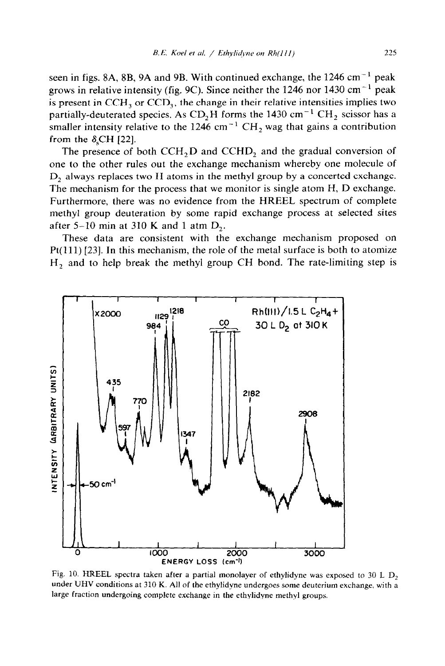seen in figs. 8A, 8B, 9A and 9B. With continued exchange, the  $1246 \text{ cm}^{-1}$  peak grows in relative intensity (fig. 9C). Since neither the 1246 nor 1430 cm<sup>-1</sup> peak is present in  $CCH<sub>3</sub>$  or  $CCD<sub>3</sub>$ , the change in their relative intensities implies two partially-deuterated species. As CD<sub>2</sub>H forms the 1430 cm<sup>-1</sup> CH<sub>2</sub> scissor has a smaller intensity relative to the 1246 cm<sup>-1</sup> CH<sub>2</sub> wag that gains a contribution from the  $\delta_c$ CH [22].

The presence of both  $CCH<sub>2</sub>D$  and  $CCHD<sub>2</sub>$  and the gradual conversion of one to the other rules out the exchange mechanism whereby one molecule of D, always replaces two H atoms in the methyl group by a concerted exchange. The mechanism for the process that we monitor is single atom H, D exchange. Furthermore, there was no evidence from the HREEL spectrum of complete methyl group deuteration by some rapid exchange process at selected sites after 5-10 min at 310 K and 1 atm  $D_2$ .

These data are consistent with the exchange mechanism proposed on  $Pt(111)$  [23]. In this mechanism, the role of the metal surface is both to atomize  $H<sub>2</sub>$  and to help break the methyl group CH bond. The rate-limiting step is



Fig. 10. HREEL spectra taken after a partial monolayer of ethylidyne was exposed to 30 L  $D_2$ under UHV conditions at 310 K. All of the ethylidyne undergoes some deuterium exchange, with a large fraction undergoing complete exchange in the ethylidyne methyl groups.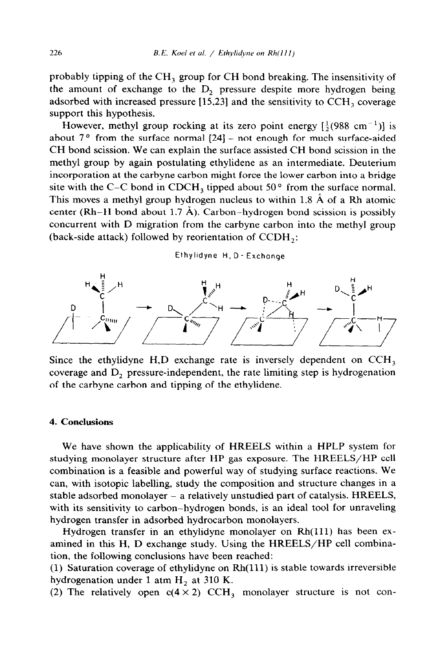probably tipping of the CH, group for CH bond breaking. The insensitivity of the amount of exchange to the D, pressure despite more hydrogen being adsorbed with increased pressure [15,23] and the sensitivity to CCH, coverage support this hypothesis.

However, methyl group rocking at its zero point energy  $\left[\frac{1}{2}(988 \text{ cm}^{-1})\right]$  is about  $7°$  from the surface normal  $[24]$  – not enough for much surface-aided CH bond scission. We can explain the surface assisted CH bond scission in the methyl group by again postulating ethylidene as an intermediate. Deuterium incorporation at the carbyne carbon might force the lower carbon into a bridge site with the C-C bond in CDCH<sub>3</sub> tipped about 50 $\degree$  from the surface normal. This moves a methyl group hydrogen nucleus to within 1.8 A of a Rh atomic center (Rh–H bond about 1.7  $\AA$ ). Carbon–hydrogen bond scission is possibly concurrent with D migration from the carbyne carbon into the methyl group (back-side attack) followed by reorientation of CCDH,:

Ethytldyne H, D - Exchange



Since the ethylidyne  $H, D$  exchange rate is inversely dependent on  $CCH<sub>3</sub>$ coverage and  $D_2$  pressure-independent, the rate limiting step is hydrogenation of the carbyne carbon and tipping of the ethylidene.

#### 4. **Conclusions**

We have shown the applicability of HREELS within a HPLP system for studying monolayer structure after HP gas exposure. The HREELS/HP cell combination is a feasible and powerful way of studying surface reactions. We can, with isotopic labelling, study the composition and structure changes in a stable adsorbed monolayer - a relatively unstudied part of catalysis. HREELS, with its sensitivity to carbon-hydrogen bonds, is an ideal tool for unraveling hydrogen transfer in adsorbed hydrocarbon monolayers.

Hydrogen transfer in an ethylidyne monolayer on Rh(111) has been examined in this H, D exchange study. Using the HREELS/HP cell combination, the following conclusions have been reached:

(1) Saturation coverage of ethylidyne on Rh(ll1) is stable towards irreversible hydrogenation under 1 atm  $H<sub>2</sub>$  at 310 K.

(2) The relatively open  $c(4 \times 2)$  CCH<sub>3</sub> monolayer structure is not con-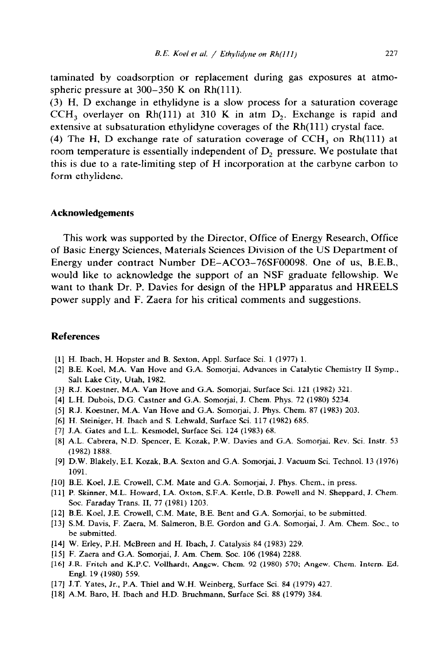taminated by coadsorption or replacement during gas exposures at atmospheric pressure at  $300-350$  K on Rh(111).

(3) H, D exchange in ethylidyne is a slow process for a saturation coverage  $CCH<sub>3</sub>$  overlayer on Rh(111) at 310 K in atm D<sub>2</sub>. Exchange is rapid and extensive at subsaturation ethylidyne coverages of the  $Rh(111)$  crystal face.

(4) The H, D exchange rate of saturation coverage of  $CCH<sub>3</sub>$  on Rh(111) at room temperature is essentially independent of  $D<sub>2</sub>$  pressure. We postulate that this is due to a rate-limiting step of H incorporation at the carbyne carbon to form ethylidene.

#### **Acknowledgements**

This work was supported by the Director, Office of Energy Research, Office of Basic Energy Sciences, Materials Sciences Division of the US Department of Energy under contract Number DE-AC03-76SF00098. One of us, B.E.B., would like to acknowledge the support of an NSF graduate fellowship. We want to thank Dr. P. Davies for design of the HPLP apparatus and HREELS power supply and F. Zaera for his critical comments and suggestions.

## **References**

- [l] H. Ibach. H. Hopster and B. Sexton, Appl. Surface Sci. 1 (1977) 1.
- [2] B.E. Koel, M.A. Van Hove and G.A. Somorjai, Advances in Catalytic Chemistry II Symp., Salt Lake City, Utah, 1982.
- [3] R.J. Koestner, M.A. Van Hove and G.A. Somorjai, Surface Sci. 121 (1982) 321.
- [4] L.H. Dubois, D.G. Castner and G.A. Somorjai, J. Chem. Phys. 72 (1980) 5234.
- (51 R.J. Koestner, M.A. Van Hove and G.A. Somorjai, J. Phys. Chem. 87 (1983) 203.
- [6] H. Steiniger, H. Ibach and S. Lehwald, Surface Sci. 117 (1982) 685.
- [7] J.A. Gates and L.L. Kesmodel, Surface Sci. 124 (1983) 68.
- [8] A.L. Cabrera, N.D. Spencer, E. Kozak, P.W. Davies and G.A. Somorjai. Rev. Sci. Instr. 53 (1982) 1888.
- [9] D.W. Blakely, E.I. Kozak, B.A. Sexton and G.A. Somorjai, J. Vacuum Sci. Technol. 13 (1976) 1091.
- [10] B.E. Koel, J.E. Crowell, C.M. Mate and G.A. Somorjai, J. Phys. Chem., in press.
- [ll] P. Skinner, M.L. Howard, LA. Oxton, S.F.A. Kettle, D.B. Powell and N. Sheppard, J. Chem. Sot. Faraday Trans. II, 77 (1981) 1203.
- [12] B.E. Koel, J.E. Crowell, C.M. Mate, B.E. Bent and G.A. Somorjai, to be submitted.
- [13] S.M. Davis, F. Zaera, M. Salmeron, B.E. Gordon and G.A. Somorjai, J. Am. Chem. Soc., to be submitted.
- 1141 W. Erley, P.H. McBreen and H. Ibach, J. Catalysis 84 (1983) 229.
- [15] F. Zaera and G.A. Somorjai, J. Am. Chem. Soc. 106 (1984) 2288.
- ]16] J.R. Fritch and K.P.C. Vollhardt, Angew. Chem. 92 (1980) 570; Angew. Chem. Intern. Ed. Engl. 19 (1980) 559.
- [17] J.T. Yates, Jr., P.A. Thiel and W.H. Weinberg, Surface Sci. 84 (1979) 427.
- 1181 A.M. Bare, H. Ibach and H.D. Bruchmann, Surface Sci. 88 (1979) 384.